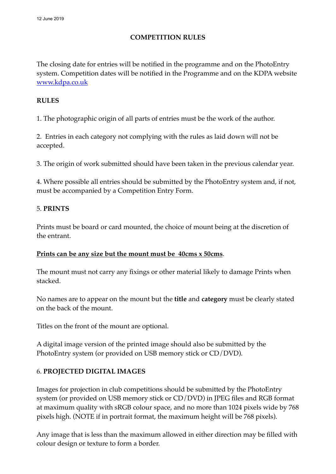# **COMPETITION RULES**

The closing date for entries will be notified in the programme and on the PhotoEntry system. Competition dates will be notified in the Programme and on the KDPA website [www.kdpa.co.uk](http://www.kdpa.co.uk)

## **RULES**

1. The photographic origin of all parts of entries must be the work of the author.

2. Entries in each category not complying with the rules as laid down will not be accepted.

3. The origin of work submitted should have been taken in the previous calendar year.

4. Where possible all entries should be submitted by the PhotoEntry system and, if not, must be accompanied by a Competition Entry Form.

## 5. **PRINTS**

Prints must be board or card mounted, the choice of mount being at the discretion of the entrant.

## **Prints can be any size but the mount must be 40cms x 50cms**.

The mount must not carry any fixings or other material likely to damage Prints when stacked.

No names are to appear on the mount but the **title** and **category** must be clearly stated on the back of the mount.

Titles on the front of the mount are optional.

A digital image version of the printed image should also be submitted by the PhotoEntry system (or provided on USB memory stick or CD/DVD).

# 6. **PROJECTED DIGITAL IMAGES**

Images for projection in club competitions should be submitted by the PhotoEntry system (or provided on USB memory stick or CD/DVD) in JPEG files and RGB format at maximum quality with sRGB colour space, and no more than 1024 pixels wide by 768 pixels high. (NOTE if in portrait format, the maximum height will be 768 pixels).

Any image that is less than the maximum allowed in either direction may be filled with colour design or texture to form a border.